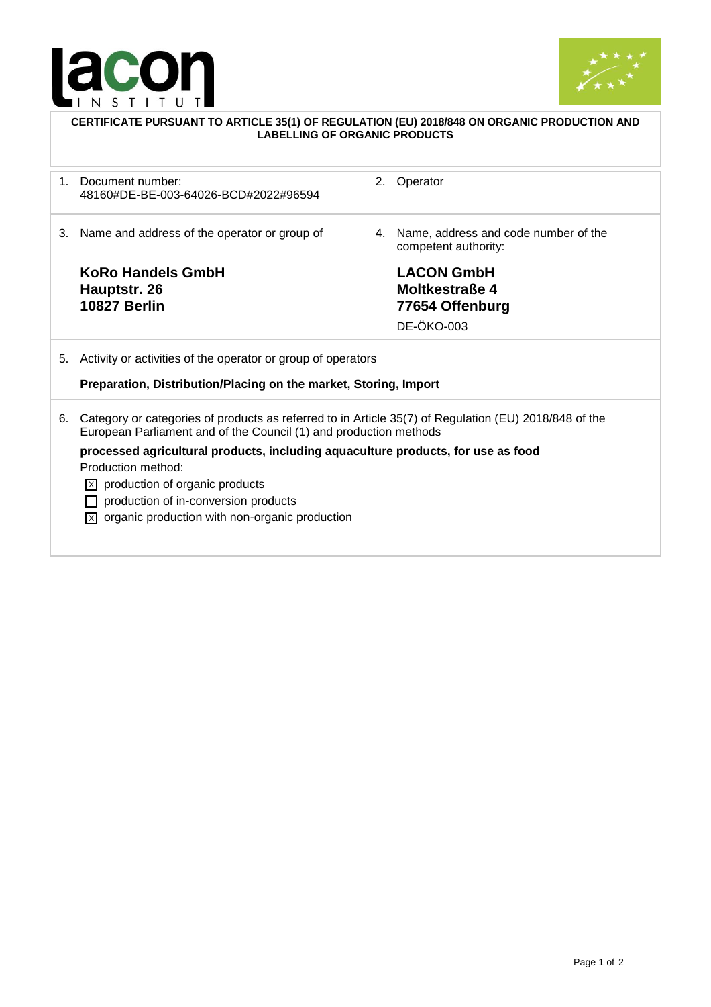



|         | CERTIFICATE PURSUANT TO ARTICLE 35(1) OF REGULATION (EU) 2018/848 ON ORGANIC PRODUCTION AND<br><b>LABELLING OF ORGANIC PRODUCTS</b>                                        |    |                                                                             |  |  |
|---------|----------------------------------------------------------------------------------------------------------------------------------------------------------------------------|----|-----------------------------------------------------------------------------|--|--|
| $1_{-}$ | Document number:<br>48160#DE-BE-003-64026-BCD#2022#96594                                                                                                                   | 2. | Operator                                                                    |  |  |
| 3.      | Name and address of the operator or group of                                                                                                                               | 4. | Name, address and code number of the<br>competent authority:                |  |  |
|         | <b>KoRo Handels GmbH</b><br>Hauptstr. 26<br><b>10827 Berlin</b>                                                                                                            |    | <b>LACON GmbH</b><br>Moltkestraße 4<br>77654 Offenburg<br><b>DE-ÖKO-003</b> |  |  |
| 5.      | Activity or activities of the operator or group of operators                                                                                                               |    |                                                                             |  |  |
|         | Preparation, Distribution/Placing on the market, Storing, Import                                                                                                           |    |                                                                             |  |  |
| 6.      | Category or categories of products as referred to in Article 35(7) of Regulation (EU) 2018/848 of the<br>European Parliament and of the Council (1) and production methods |    |                                                                             |  |  |
|         | processed agricultural products, including aquaculture products, for use as food<br>Production method:                                                                     |    |                                                                             |  |  |
|         | production of organic products<br>IxL                                                                                                                                      |    |                                                                             |  |  |
|         | production of in-conversion products                                                                                                                                       |    |                                                                             |  |  |
|         | $\overline{X}$ organic production with non-organic production                                                                                                              |    |                                                                             |  |  |